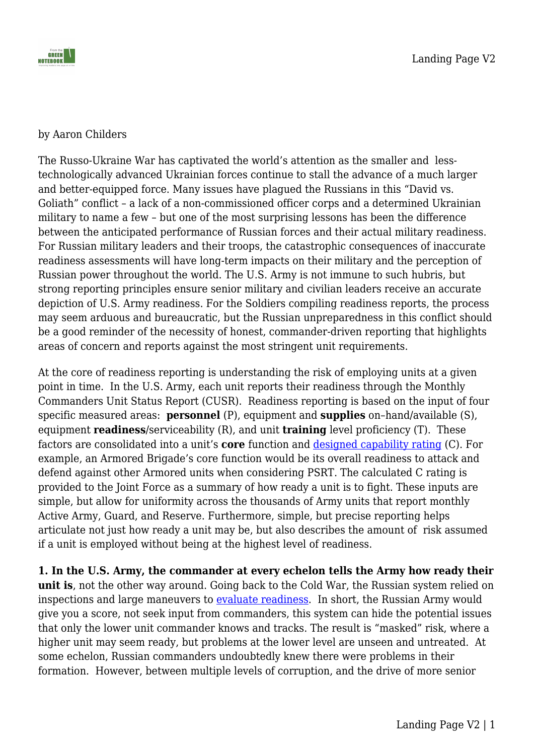

### by Aaron Childers

The Russo-Ukraine War has captivated the world's attention as the smaller and lesstechnologically advanced Ukrainian forces continue to stall the advance of a much larger and better-equipped force. Many issues have plagued the Russians in this "David vs. Goliath" conflict – a lack of a non-commissioned officer corps and a determined Ukrainian military to name a few – but one of the most surprising lessons has been the difference between the anticipated performance of Russian forces and their actual military readiness. For Russian military leaders and their troops, the catastrophic consequences of inaccurate readiness assessments will have long-term impacts on their military and the perception of Russian power throughout the world. The U.S. Army is not immune to such hubris, but strong reporting principles ensure senior military and civilian leaders receive an accurate depiction of U.S. Army readiness. For the Soldiers compiling readiness reports, the process may seem arduous and bureaucratic, but the Russian unpreparedness in this conflict should be a good reminder of the necessity of honest, commander-driven reporting that highlights areas of concern and reports against the most stringent unit requirements.

At the core of readiness reporting is understanding the risk of employing units at a given point in time. In the U.S. Army, each unit reports their readiness through the Monthly Commanders Unit Status Report (CUSR). Readiness reporting is based on the input of four specific measured areas: **personnel** (P), equipment and **supplies** on–hand/available (S), equipment **readiness**/serviceability (R), and unit **training** level proficiency (T). These factors are consolidated into a unit's **core** function and [designed capability rating](https://armypubs.army.mil/epubs/dr_pubs/dr_a/pdf/web/r220_1.pdf) (C). For example, an Armored Brigade's core function would be its overall readiness to attack and defend against other Armored units when considering PSRT. The calculated C rating is provided to the Joint Force as a summary of how ready a unit is to fight. These inputs are simple, but allow for uniformity across the thousands of Army units that report monthly Active Army, Guard, and Reserve. Furthermore, simple, but precise reporting helps articulate not just how ready a unit may be, but also describes the amount of risk assumed if a unit is employed without being at the highest level of readiness.

**1. In the U.S. Army, the commander at every echelon tells the Army how ready their unit is**, not the other way around. Going back to the Cold War, the Russian system relied on inspections and large maneuvers to [evaluate readiness](https://www.amazon.com/Military-Readiness-Concepts-Choices-Consequences/dp/0815709056/ref=asc_df_0815709056/?tag=hyprod-20&linkCode=df0&hvadid=312643571004&hvpos=&hvnetw=g&hvrand=2960092652703767064&hvpone=&hvptwo=&hvqmt=&hvdev=c&hvdvcmdl=&hvlocint=&hvlocphy=9025582&hvtargid=pla-571063795869&psc=1). In short, the Russian Army would give you a score, not seek input from commanders, this system can hide the potential issues that only the lower unit commander knows and tracks. The result is "masked" risk, where a higher unit may seem ready, but problems at the lower level are unseen and untreated. At some echelon, Russian commanders undoubtedly knew there were problems in their formation. However, between multiple levels of corruption, and the drive of more senior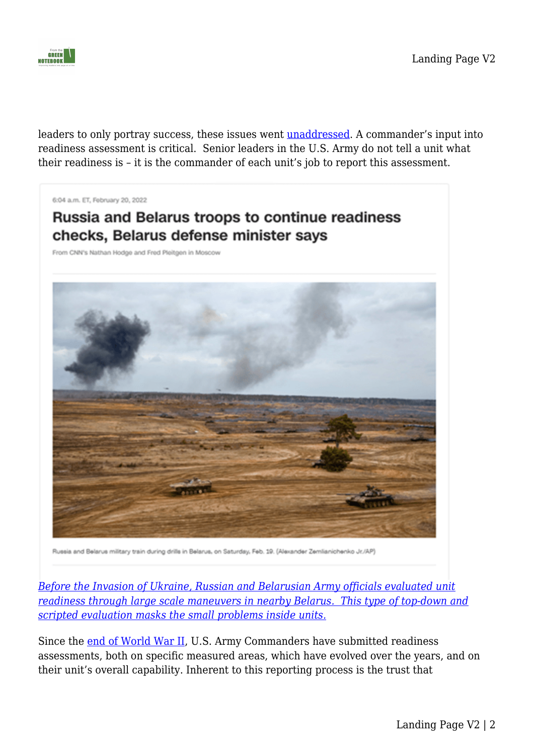

leaders to only portray success, these issues went **unaddressed**. A commander's input into readiness assessment is critical. Senior leaders in the U.S. Army do not tell a unit what their readiness is – it is the commander of each unit's job to report this assessment.

6:04 a.m. ET, February 20, 2022

# **Russia and Belarus troops to continue readiness** checks, Belarus defense minister says

From CNN's Nathan Hodge and Fred Pleitgen in Moscow



Russia and Belarus military train during drills in Belarus, on Saturday, Feb. 19. (Alexander Zemlianichenko Jr./AP)

*[Before the Invasion of Ukraine, Russian and Belarusian Army officials evaluated unit](https://www.cnn.com/europe/live-news/ukraine-russia-news-02-20-22-intl/h_a3b9f47ca9006613e0ad6b2e6ad428f3.) [readiness through large scale maneuvers in nearby Belarus. This type of top-down and](https://www.cnn.com/europe/live-news/ukraine-russia-news-02-20-22-intl/h_a3b9f47ca9006613e0ad6b2e6ad428f3.) [scripted evaluation masks the small problems inside units.](https://www.cnn.com/europe/live-news/ukraine-russia-news-02-20-22-intl/h_a3b9f47ca9006613e0ad6b2e6ad428f3.)*

Since the [end of World War II](https://history.army.mil/html/books/070/70-130/cmhPub_70-130.pdf), U.S. Army Commanders have submitted readiness assessments, both on specific measured areas, which have evolved over the years, and on their unit's overall capability. Inherent to this reporting process is the trust that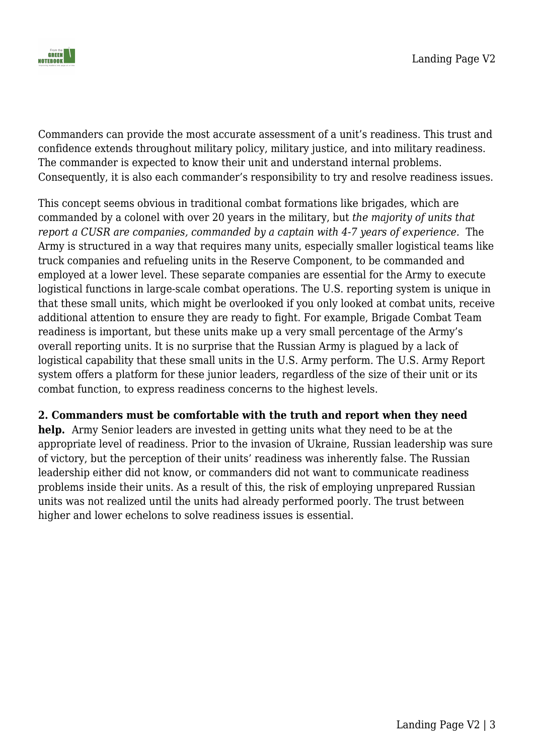

Commanders can provide the most accurate assessment of a unit's readiness. This trust and confidence extends throughout military policy, military justice, and into military readiness. The commander is expected to know their unit and understand internal problems. Consequently, it is also each commander's responsibility to try and resolve readiness issues.

This concept seems obvious in traditional combat formations like brigades, which are commanded by a colonel with over 20 years in the military, but *the majority of units that report a CUSR are companies, commanded by a captain with 4-7 years of experience.* The Army is structured in a way that requires many units, especially smaller logistical teams like truck companies and refueling units in the Reserve Component, to be commanded and employed at a lower level. These separate companies are essential for the Army to execute logistical functions in large-scale combat operations. The U.S. reporting system is unique in that these small units, which might be overlooked if you only looked at combat units, receive additional attention to ensure they are ready to fight. For example, Brigade Combat Team readiness is important, but these units make up a very small percentage of the Army's overall reporting units. It is no surprise that the Russian Army is plagued by a lack of logistical capability that these small units in the U.S. Army perform. The U.S. Army Report system offers a platform for these junior leaders, regardless of the size of their unit or its combat function, to express readiness concerns to the highest levels.

### **2. Commanders must be comfortable with the truth and report when they need**

**help.** Army Senior leaders are invested in getting units what they need to be at the appropriate level of readiness. Prior to the invasion of Ukraine, Russian leadership was sure of victory, but the perception of their units' readiness was inherently false. The Russian leadership either did not know, or commanders did not want to communicate readiness problems inside their units. As a result of this, the risk of employing unprepared Russian units was not realized until the units had already performed poorly. The trust between higher and lower echelons to solve readiness issues is essential.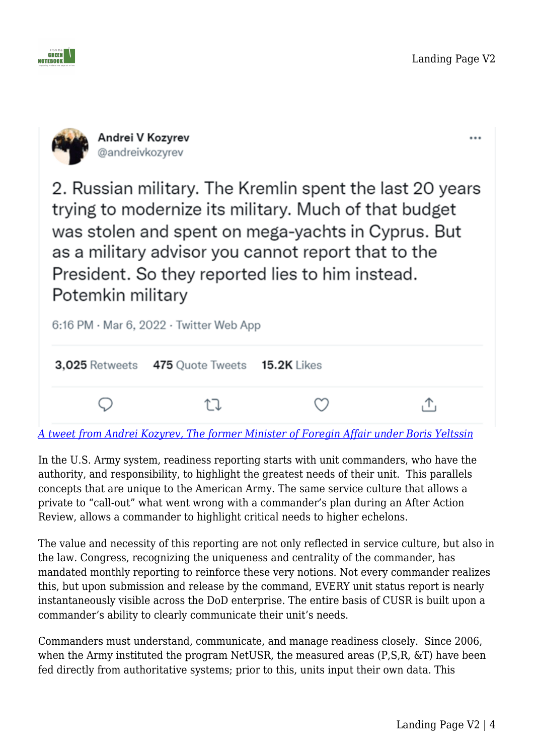

...



2. Russian military. The Kremlin spent the last 20 years trying to modernize its military. Much of that budget was stolen and spent on mega-yachts in Cyprus. But as a military advisor you cannot report that to the President. So they reported lies to him instead. Potemkin military



*[A tweet from Andrei Kozyrev, The former Minister of Foregin Affair under Boris Yeltssin](https://www.nytimes.com/2022/03/07/us/politics/russia-ukraine-military.html)*

In the U.S. Army system, readiness reporting starts with unit commanders, who have the authority, and responsibility, to highlight the greatest needs of their unit. This parallels concepts that are unique to the American Army. The same service culture that allows a private to "call-out" what went wrong with a commander's plan during an After Action Review, allows a commander to highlight critical needs to higher echelons.

The value and necessity of this reporting are not only reflected in service culture, but also in the law. Congress, recognizing the uniqueness and centrality of the commander, has mandated monthly reporting to reinforce these very notions. Not every commander realizes this, but upon submission and release by the command, EVERY unit status report is nearly instantaneously visible across the DoD enterprise. The entire basis of CUSR is built upon a commander's ability to clearly communicate their unit's needs.

Commanders must understand, communicate, and manage readiness closely. Since 2006, when the Army instituted the program NetUSR, the measured areas (P,S,R, &T) have been fed directly from authoritative systems; prior to this, units input their own data. This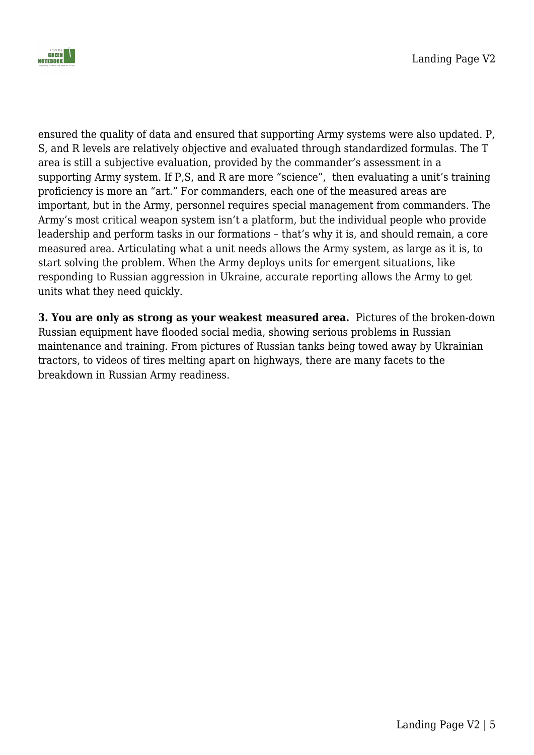

ensured the quality of data and ensured that supporting Army systems were also updated. P, S, and R levels are relatively objective and evaluated through standardized formulas. The T area is still a subjective evaluation, provided by the commander's assessment in a supporting Army system. If P,S, and R are more "science", then evaluating a unit's training proficiency is more an "art." For commanders, each one of the measured areas are important, but in the Army, personnel requires special management from commanders. The Army's most critical weapon system isn't a platform, but the individual people who provide leadership and perform tasks in our formations – that's why it is, and should remain, a core measured area. Articulating what a unit needs allows the Army system, as large as it is, to start solving the problem. When the Army deploys units for emergent situations, like responding to Russian aggression in Ukraine, accurate reporting allows the Army to get units what they need quickly.

**3. You are only as strong as your weakest measured area.** Pictures of the broken-down Russian equipment have flooded social media, showing serious problems in Russian maintenance and training. From pictures of Russian tanks being towed away by Ukrainian tractors, to videos of tires melting apart on highways, there are many facets to the breakdown in Russian Army readiness.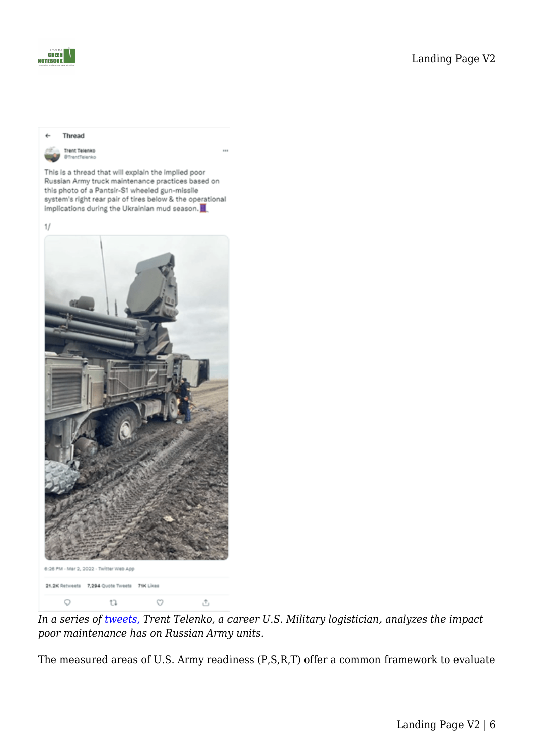

#### Thread

**Trent Telenko STrentTelenko** 

This is a thread that will explain the implied poor Russian Army truck maintenance practices based on this photo of a Pantsir-S1 wheeled gun-missile system's right rear pair of tires below & the operational implications during the Ukrainian mud season.





*In a series of [tweets,](https://twitter.com/jonostrower/status/1499227073100992519) Trent Telenko, a career U.S. Military logistician, analyzes the impact poor maintenance has on Russian Army units*.

The measured areas of U.S. Army readiness (P,S,R,T) offer a common framework to evaluate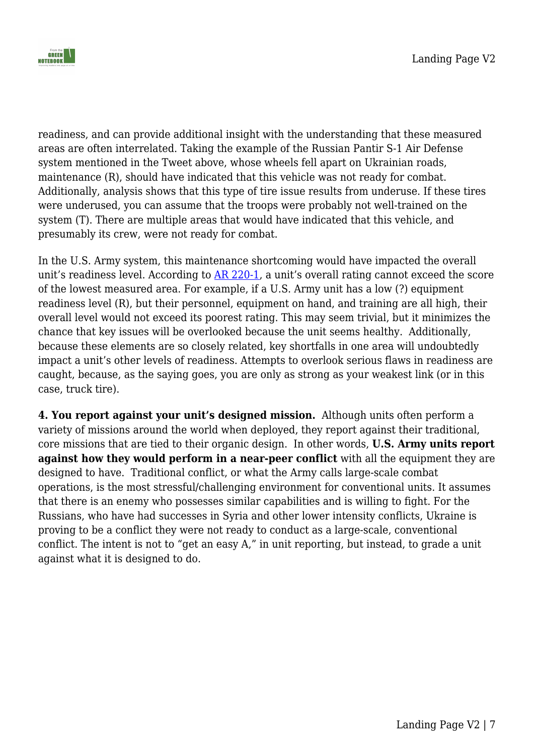

readiness, and can provide additional insight with the understanding that these measured areas are often interrelated. Taking the example of the Russian Pantir S-1 Air Defense system mentioned in the Tweet above, whose wheels fell apart on Ukrainian roads, maintenance (R), should have indicated that this vehicle was not ready for combat. Additionally, analysis shows that this type of tire issue results from underuse. If these tires were underused, you can assume that the troops were probably not well-trained on the system (T). There are multiple areas that would have indicated that this vehicle, and presumably its crew, were not ready for combat.

In the U.S. Army system, this maintenance shortcoming would have impacted the overall unit's readiness level. According to [AR 220-1](https://armypubs.army.mil/epubs/dr_pubs/dr_a/pdf/web/r220_1.pdf), a unit's overall rating cannot exceed the score of the lowest measured area. For example, if a U.S. Army unit has a low (?) equipment readiness level (R), but their personnel, equipment on hand, and training are all high, their overall level would not exceed its poorest rating. This may seem trivial, but it minimizes the chance that key issues will be overlooked because the unit seems healthy. Additionally, because these elements are so closely related, key shortfalls in one area will undoubtedly impact a unit's other levels of readiness. Attempts to overlook serious flaws in readiness are caught, because, as the saying goes, you are only as strong as your weakest link (or in this case, truck tire).

**4. You report against your unit's designed mission.** Although units often perform a variety of missions around the world when deployed, they report against their traditional, core missions that are tied to their organic design. In other words, **U.S. Army units report against how they would perform in a near-peer conflict** with all the equipment they are designed to have. Traditional conflict, or what the Army calls large-scale combat operations, is the most stressful/challenging environment for conventional units. It assumes that there is an enemy who possesses similar capabilities and is willing to fight. For the Russians, who have had successes in Syria and other lower intensity conflicts, Ukraine is proving to be a conflict they were not ready to conduct as a large-scale, conventional conflict. The intent is not to "get an easy A," in unit reporting, but instead, to grade a unit against what it is designed to do.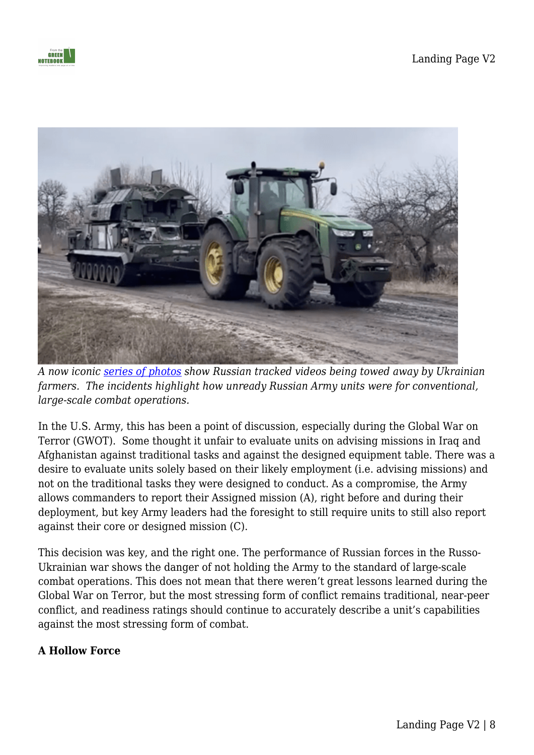



*A now iconic [series of photos](https://www.cbc.ca/news/world/ukraine-farmers-1.6387964) show Russian tracked videos being towed away by Ukrainian farmers. The incidents highlight how unready Russian Army units were for conventional, large-scale combat operations.*

In the U.S. Army, this has been a point of discussion, especially during the Global War on Terror (GWOT). Some thought it unfair to evaluate units on advising missions in Iraq and Afghanistan against traditional tasks and against the designed equipment table. There was a desire to evaluate units solely based on their likely employment (i.e. advising missions) and not on the traditional tasks they were designed to conduct. As a compromise, the Army allows commanders to report their Assigned mission (A), right before and during their deployment, but key Army leaders had the foresight to still require units to still also report against their core or designed mission (C).

This decision was key, and the right one. The performance of Russian forces in the Russo-Ukrainian war shows the danger of not holding the Army to the standard of large-scale combat operations. This does not mean that there weren't great lessons learned during the Global War on Terror, but the most stressing form of conflict remains traditional, near-peer conflict, and readiness ratings should continue to accurately describe a unit's capabilities against the most stressing form of combat.

### **A Hollow Force**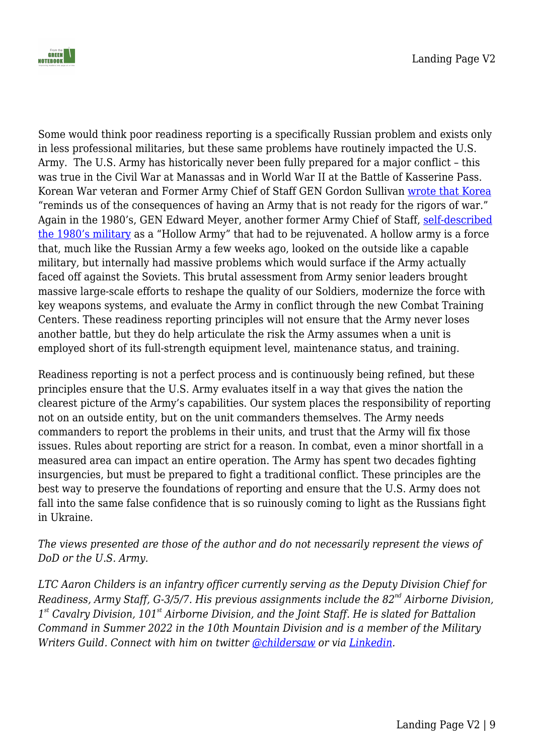

Some would think poor readiness reporting is a specifically Russian problem and exists only in less professional militaries, but these same problems have routinely impacted the U.S. Army. The U.S. Army has historically never been fully prepared for a major conflict – this was true in the Civil War at Manassas and in World War II at the Battle of Kasserine Pass. Korean War veteran and Former Army Chief of Staff GEN Gordon Sullivan [wrote that Korea](https://www.amazon.com/This-Kind-of-War-T-R-Fehrenbach-audiobook/dp/B003XJHXLY/ref=sr_1_1?crid=GMXHYOMJ5G5Z&keywords=This+Kind+of+War&qid=1654549936&sprefix=this+kind+of+war%2Caps%2C190&sr=8-1) "reminds us of the consequences of having an Army that is not ready for the rigors of war." Again in the 1980's, GEN Edward Meyer, another former Army Chief of Staff, [self-described](https://www.washingtonpost.com/local/obituaries/edward-c-meyer-general-who-revamped-post-vietnam-hollow-army-dies-at-91/2020/10/13/141fbc48-0436-11eb-a2db-417cddf4816a_story.html) [the 1980's military](https://www.washingtonpost.com/local/obituaries/edward-c-meyer-general-who-revamped-post-vietnam-hollow-army-dies-at-91/2020/10/13/141fbc48-0436-11eb-a2db-417cddf4816a_story.html) as a "Hollow Army" that had to be rejuvenated. A hollow army is a force that, much like the Russian Army a few weeks ago, looked on the outside like a capable military, but internally had massive problems which would surface if the Army actually faced off against the Soviets. This brutal assessment from Army senior leaders brought massive large-scale efforts to reshape the quality of our Soldiers, modernize the force with key weapons systems, and evaluate the Army in conflict through the new Combat Training Centers. These readiness reporting principles will not ensure that the Army never loses another battle, but they do help articulate the risk the Army assumes when a unit is employed short of its full-strength equipment level, maintenance status, and training.

Readiness reporting is not a perfect process and is continuously being refined, but these principles ensure that the U.S. Army evaluates itself in a way that gives the nation the clearest picture of the Army's capabilities. Our system places the responsibility of reporting not on an outside entity, but on the unit commanders themselves. The Army needs commanders to report the problems in their units, and trust that the Army will fix those issues. Rules about reporting are strict for a reason. In combat, even a minor shortfall in a measured area can impact an entire operation. The Army has spent two decades fighting insurgencies, but must be prepared to fight a traditional conflict. These principles are the best way to preserve the foundations of reporting and ensure that the U.S. Army does not fall into the same false confidence that is so ruinously coming to light as the Russians fight in Ukraine.

*The views presented are those of the author and do not necessarily represent the views of DoD or the U.S. Army.*

*LTC Aaron Childers is an infantry officer currently serving as the Deputy Division Chief for Readiness, Army Staff, G-3/5/7. His previous assignments include the 82nd Airborne Division, 1 st Cavalry Division, 101st Airborne Division, and the Joint Staff. He is slated for Battalion Command in Summer 2022 in the 10th Mountain Division and is a member of the Military Writers Guild. Connect with him on twitter [@childersaw](https://twitter.com/childersaw) or via [Linkedin](https://t.co/4khDhnIvIy).*